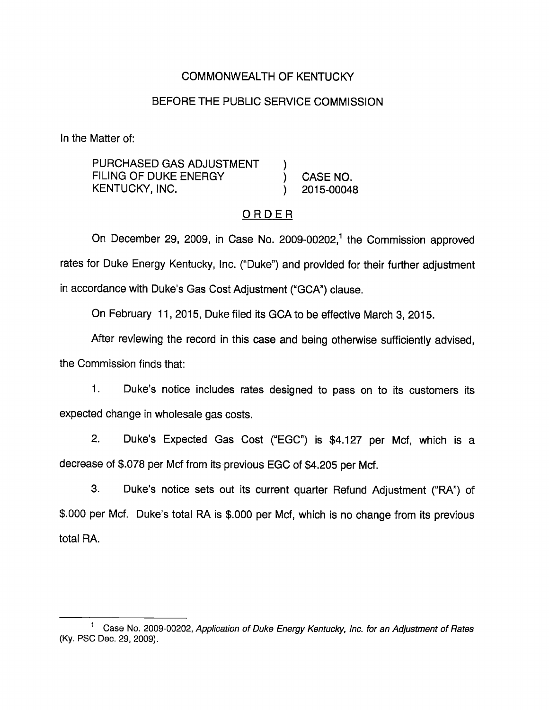## COMMONWEALTH OF KENTUCKY

## BEFORE THE PUBLIC SERVICE COMMISSION

In the Matter of:

PURCHASED GAS ADJUSTMENT FILING OF DUKE ENERGY (CASE NO. KENTUCKY, INC. (2015-00048)

## ORDER

On December 29, 2009, in Case No. 2009-00202,<sup>1</sup> the Commission approved rates for Duke Energy Kentucky, Inc. ("Duke") and provided for their further adjustment in accordance with Duke's Gas Cost Adjustment ("GCA") clause.

On February 11, 2015, Duke filed its GCA to be effective March 3, 2015.

After reviewing the record in this case and being otherwise sufficiently advised, the Commission finds that:

1. Duke's notice includes rates designed to pass on to its customers its expected change in wholesale gas costs.

2. Duke's Expected Gas Cost ("EGC") is \$4,127 per Mcf, which is a decrease of \$.078 per Mcf from its previous EGC of \$4,205 per Mcf.

3. Duke's notice sets out its current quarter Refund Adjustment ("RA") of \$.000 per Mcf. Duke's total RA is \$.000 per Mcf, which is no change from its previous total RA.

<sup>&</sup>lt;sup>1</sup> Case No. 2009-00202, Application of Duke Energy Kentucky, Inc. for an Adjustment of Rates (Ky. PSO Deo. 29, 2009).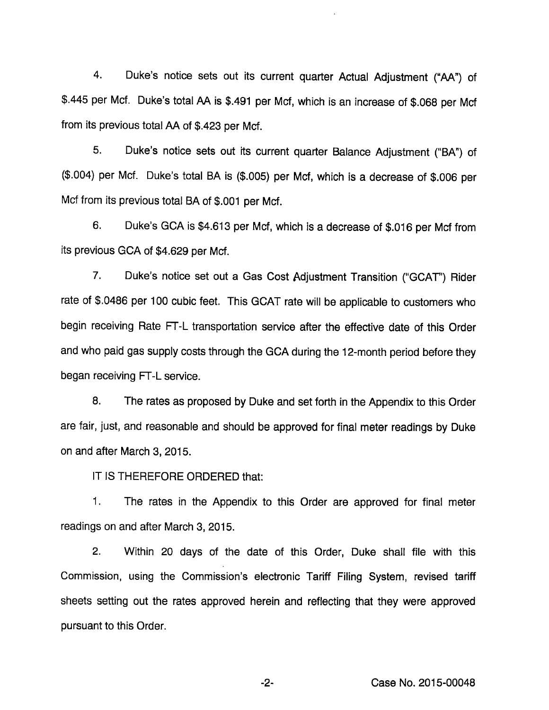4. Duke's notice sets out its current quarter Actual Adjustment ("AA") of \$.445 per Met. Duke's total AA is \$.491 per Met, which is an increase of \$.068 per Mcf from its previous total AA of \$.423 per Mcf.

5. Duke's notice sets out its current quarter Balance Adjustment ("BA") of (\$.004) per Mcf. Duke's total BA is (\$.005) per Mcf, which is a decrease of \$.006 per Mcf from its previous total BA of \$.001 per Mcf.

6. Duke's GCA is \$4,613 per Mcf, which is a decrease of \$.016 per Mcf from its previous GCA of \$4,629 per Mcf.

7. Duke's notice set out a Gas Cost Adjustment Transition ("GCAT") Rider rate of \$.0486 per 100 cubic feet. This GCAT rate will be applicable to customers who begin receiving Rate FT-L transportation service after the effective date of this Order and who paid gas supply costs through the GCA during the 12-month period before they began receiving FT-L service.

8. The rates as proposed by Duke and set forth in the Appendix to this Order are fair, just, and reasonable and should be approved for final meter readings by Duke on and after March 3, 2015.

IT IS THEREFORE ORDERED that:

1. The rates in the Appendix to this Order are approved for final meter readings on and after March 3, 2015.

2. Within 20 days of the date of this Order, Duke shall file with this Commission, using the Commission's electronic Tariff Filing System, revised tariff sheets setting out the rates approved herein and reflecting that they were approved pursuant to this Order.

-2- Case No. 2015-00048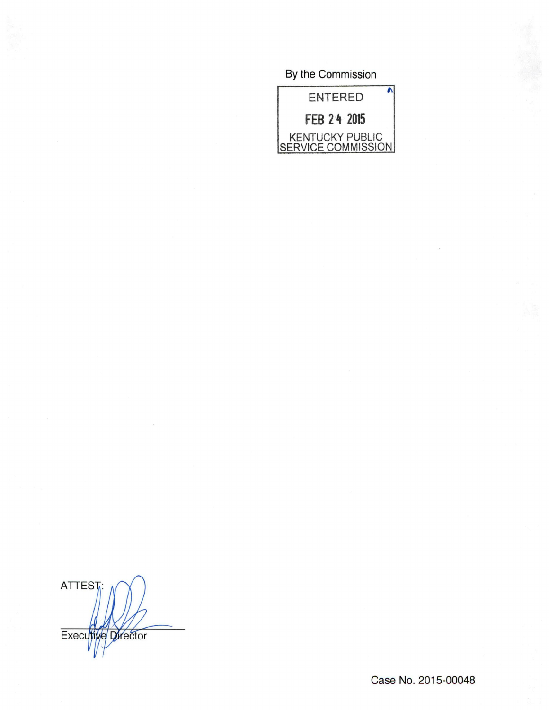By the Commission



ATTEST: Executive Director

Case No. 2015-00048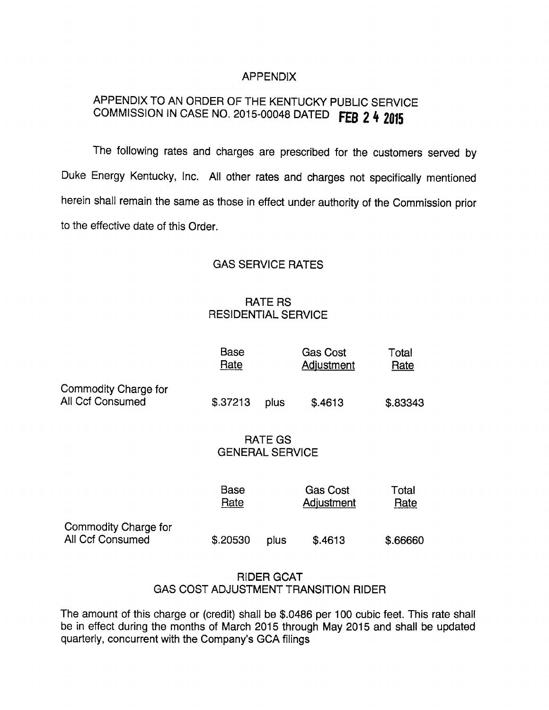### APPENDIX

# APPENDIX TO AN ORDER OF THE KENTUCKY PUBLIC SERVICE COMMISSION IN CASE NO. 2015-00048 DATED FEB 2 4 2015

The following rates and charges are prescribed for the customers served by Duke Energy Kentucky, Inc. All other rates and charges not specifically mentioned herein shall remain the same as those in effect under authority of the Commission prior to the effective date of this Order.

### GAS SERVICE RATES

## RATE RS RESIDENTIAL SERVICE

|                                          | <b>Base</b><br>Rate                      |      | <b>Gas Cost</b><br>Adjustment | Total<br>Rate |
|------------------------------------------|------------------------------------------|------|-------------------------------|---------------|
| Commodity Charge for<br>All Ccf Consumed | \$.37213                                 | plus | \$.4613                       | \$.83343      |
|                                          | <b>RATE GS</b><br><b>GENERAL SERVICE</b> |      |                               |               |
|                                          | <b>Base</b><br>Rate                      |      | <b>Gas Cost</b><br>Adjustment | Total<br>Rate |
| Commodity Charge for<br>All Ccf Consumed | \$.20530                                 | plus | \$.4613                       | \$.66660      |

### RIDER GCAT GAS COST ADJUSTMENT TRANSITION RIDER

The amount of this charge or (credit) shall be \$.0486 per 100 cubic feet. This rate shall be in effect during the months of March 2015 through May 2015 and shall be updated quarterly, concurrent with the Company's GCA filings